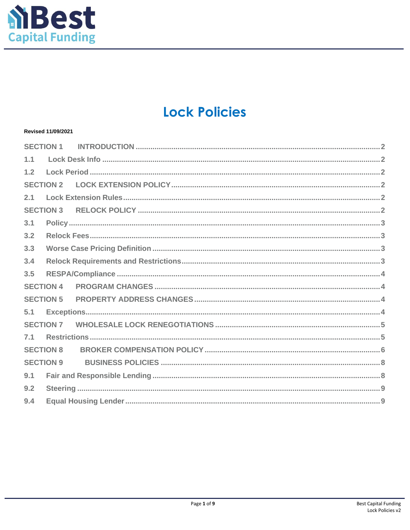

# **Lock Policies**

## Revised 11/09/2021

|                  | <b>SECTION 1</b> |  |  |  |  |
|------------------|------------------|--|--|--|--|
| 1.1              |                  |  |  |  |  |
| 1.2              |                  |  |  |  |  |
| <b>SECTION 2</b> |                  |  |  |  |  |
| 2.1              |                  |  |  |  |  |
| <b>SECTION 3</b> |                  |  |  |  |  |
| 3.1              |                  |  |  |  |  |
| 3.2              |                  |  |  |  |  |
| 3.3              |                  |  |  |  |  |
| 3.4              |                  |  |  |  |  |
| 3.5              |                  |  |  |  |  |
| <b>SECTION 4</b> |                  |  |  |  |  |
| <b>SECTION 5</b> |                  |  |  |  |  |
| 5.1              |                  |  |  |  |  |
|                  |                  |  |  |  |  |
| 7.1              |                  |  |  |  |  |
| <b>SECTION 8</b> |                  |  |  |  |  |
| <b>SECTION 9</b> |                  |  |  |  |  |
| 9.1              |                  |  |  |  |  |
| 9.2              |                  |  |  |  |  |
| 9.4              |                  |  |  |  |  |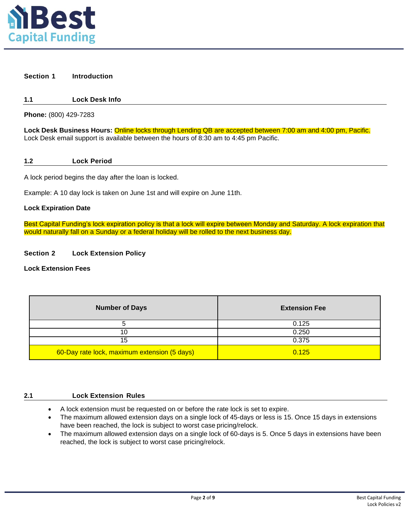

#### <span id="page-1-0"></span>**Section 1 Introduction**

## **1.1 Lock Desk Info**

**Phone:** (800) 429-7283

**Lock Desk Business Hours:** Online locks through Lending QB are accepted between 7:00 am and 4:00 pm, Pacific. Lock Desk email support is available between the hours of 8:30 am to 4:45 pm Pacific.

<span id="page-1-1"></span>**1.2 Lock Period**

A lock period begins the day after the loan is locked.

Example: A 10 day lock is taken on June 1st and will expire on June 11th.

#### **Lock Expiration Date**

Best Capital Funding's lock expiration policy is that a lock will expire between Monday and Saturday. A lock expiration that would naturally fall on a Sunday or a federal holiday will be rolled to the next business day.

#### **Section 2 Lock Extension Policy**

**Lock Extension Fees**

| <b>Number of Days</b>                        | <b>Extension Fee</b> |
|----------------------------------------------|----------------------|
|                                              | 0.125                |
| 10                                           | 0.250                |
| 15                                           | 0.375                |
| 60-Day rate lock, maximum extension (5 days) | 0.125                |

#### <span id="page-1-2"></span>**2.1 Lock Extension Rules**

- A lock extension must be requested on or before the rate lock is set to expire.
- The maximum allowed extension days on a single lock of 45-days or less is 15. Once 15 days in extensions have been reached, the lock is subject to worst case pricing/relock.
- The maximum allowed extension days on a single lock of 60-days is 5. Once 5 days in extensions have been reached, the lock is subject to worst case pricing/relock.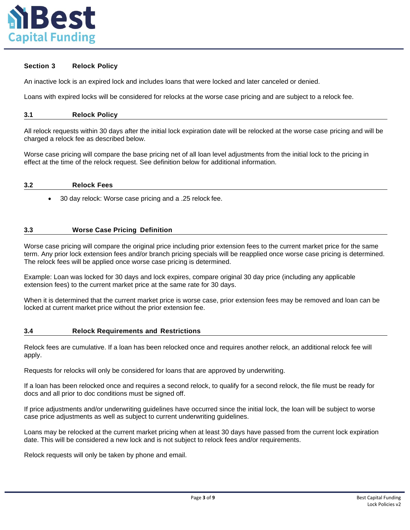

## <span id="page-2-0"></span>**Section 3 Relock Policy**

An inactive lock is an expired lock and includes loans that were locked and later canceled or denied.

Loans with expired locks will be considered for relocks at the worse case pricing and are subject to a relock fee.

| 3.1 | <b>Relock Policy</b><br>. |
|-----|---------------------------|
|-----|---------------------------|

All relock requests within 30 days after the initial lock expiration date will be relocked at the worse case pricing and will be charged a relock fee as described below.

Worse case pricing will compare the base pricing net of all loan level adjustments from the initial lock to the pricing in effect at the time of the relock request. See definition below for additional information.

#### <span id="page-2-1"></span>**3.2 Relock Fees**

• 30 day relock: Worse case pricing and a .25 relock fee.

## <span id="page-2-2"></span>**3.3 Worse Case Pricing Definition**

Worse case pricing will compare the original price including prior extension fees to the current market price for the same term. Any prior lock extension fees and/or branch pricing specials will be reapplied once worse case pricing is determined. The relock fees will be applied once worse case pricing is determined.

Example: Loan was locked for 30 days and lock expires, compare original 30 day price (including any applicable extension fees) to the current market price at the same rate for 30 days.

When it is determined that the current market price is worse case, prior extension fees may be removed and loan can be locked at current market price without the prior extension fee.

#### <span id="page-2-3"></span>**3.4 Relock Requirements and Restrictions**

Relock fees are cumulative. If a loan has been relocked once and requires another relock, an additional relock fee will apply.

Requests for relocks will only be considered for loans that are approved by underwriting.

If a loan has been relocked once and requires a second relock, to qualify for a second relock, the file must be ready for docs and all prior to doc conditions must be signed off.

If price adjustments and/or underwriting guidelines have occurred since the initial lock, the loan will be subject to worse case price adjustments as well as subject to current underwriting guidelines.

Loans may be relocked at the current market pricing when at least 30 days have passed from the current lock expiration date. This will be considered a new lock and is not subject to relock fees and/or requirements.

Relock requests will only be taken by phone and email.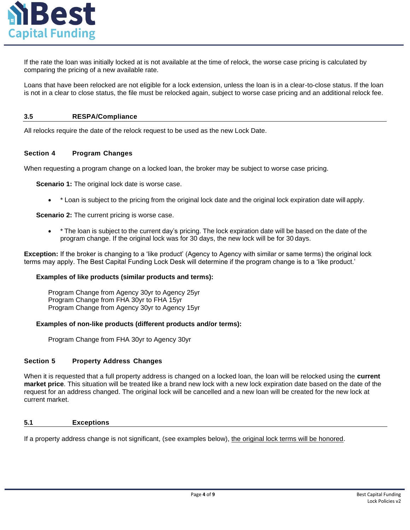

If the rate the loan was initially locked at is not available at the time of relock, the worse case pricing is calculated by comparing the pricing of a new available rate.

Loans that have been relocked are not eligible for a lock extension, unless the loan is in a clear-to-close status. If the loan is not in a clear to close status, the file must be relocked again, subject to worse case pricing and an additional relock fee.

## <span id="page-3-0"></span>**3.5 RESPA/Compliance**

All relocks require the date of the relock request to be used as the new Lock Date.

## <span id="page-3-1"></span>**Section 4 Program Changes**

When requesting a program change on a locked loan, the broker may be subject to worse case pricing.

**Scenario 1:** The original lock date is worse case.

• \* Loan is subject to the pricing from the original lock date and the original lock expiration date will apply.

**Scenario 2:** The current pricing is worse case.

program change. If the original lock was for 30 days, the new lock will be for 30 days. • \* The loan is subject to the current day's pricing. The lock expiration date will be based on the date of the

terms may apply. The Best Capital Funding Lock Desk will determine if the program change is to a 'like product.' **Exception:** If the broker is changing to a 'like product' (Agency to Agency with similar or same terms) the original lock

## **Examples of like products (similar products and terms):**

Program Change from Agency 30yr to Agency 15yr Program Change from FHA 30yr to FHA 15yr Program Change from Agency 30yr to Agency 25yr

## **Examples of non-like products (different products and/or terms):**

Program Change from FHA 30yr to Agency 30yr

## <span id="page-3-2"></span>**Section 5 Property Address Changes**

current market. request for an address changed. The original lock will be cancelled and a new loan will be created for the new lock at **market price**. This situation will be treated like a brand new lock with a new lock expiration date based on the date of the When it is requested that a full property address is changed on a locked loan, the loan will be relocked using the **current**

## <span id="page-3-3"></span>**5.1 Exceptions**

If a property address change is not significant, (see examples below), the original lock terms will be honored.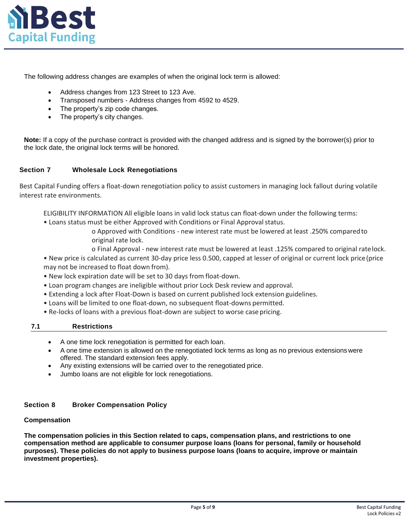

The following address changes are examples of when the original lock term is allowed:

- Address changes from 123 Street to 123 Ave.
- Transposed numbers Address changes from 4592 to 4529.
- The property's zip code changes.
- The property's city changes.

**Note:** If a copy of the purchase contract is provided with the changed address and is signed by the borrower(s) prior to the lock date, the original lock terms will be honored.

## <span id="page-4-0"></span>**Section 7 Wholesale Lock Renegotiations**

Best Capital Funding offers a float-down renegotiation policy to assist customers in managing lock fallout during volatile interest rate environments.

ELIGIBILITY INFORMATION All eligible loans in valid lock status can float-down under the following terms:

- Loans status must be either Approved with Conditions or Final Approval status.
	- o Approved with Conditions new interest rate must be lowered at least .250% comparedto original rate lock.
	- o Final Approval new interest rate must be lowered at least .125% compared to original ratelock.

• New price is calculated as current 30-day price less 0.500, capped at lesser of original or current lock price(price may not be increased to float down from).

- New lock expiration date will be set to 30 days from float-down.
- Loan program changes are ineligible without prior Lock Desk review and approval.
- Extending a lock after Float-Down is based on current published lock extension guidelines.
- Loans will be limited to one float-down, no subsequent float-downs permitted.
- <span id="page-4-1"></span>• Re-locks of loans with a previous float-down are subject to worse case pricing.

## **7.1 Restrictions**

- A one time lock renegotiation is permitted for each loan.
- A one time extension is allowed on the renegotiated lock terms as long as no previous extensions were offered. The standard extension fees apply.
- Any existing extensions will be carried over to the renegotiated price.
- Jumbo loans are not eligible for lock renegotiations.

## **Section 8 Broker Compensation Policy**

## **Compensation**

**The compensation policies in this Section related to caps, compensation plans, and restrictions to one compensation method are applicable to consumer purpose loans (loans for personal, family or household purposes). These policies do not apply to business purpose loans (loans to acquire, improve or maintain investment properties).**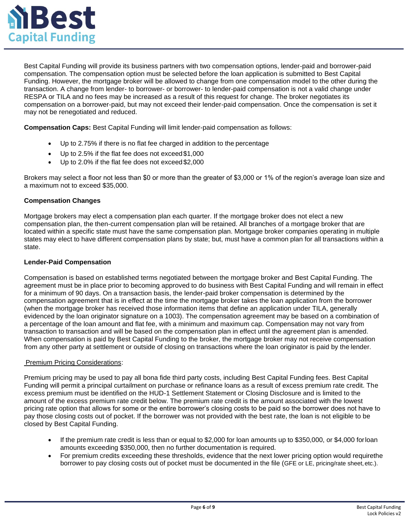

Best Capital Funding will provide its business partners with two compensation options, lender-paid and borrower-paid compensation. The compensation option must be selected before the loan application is submitted to Best Capital Funding. However, the mortgage broker will be allowed to change from one compensation model to the other during the transaction. A change from lender- to borrower- or borrower- to lender-paid compensation is not a valid change under RESPA or TILA and no fees may be increased as a result of this request for change. The broker negotiates its compensation on a borrower-paid, but may not exceed their lender-paid compensation. Once the compensation is set it may not be renegotiated and reduced.

**Compensation Caps:** Best Capital Funding will limit lender-paid compensation as follows:

- Up to 2.75% if there is no flat fee charged in addition to the percentage
- Up to 2.5% if the flat fee does not exceed\$1,000
- Up to 2.0% if the flat fee does not exceed\$2,000

Brokers may select a floor not less than \$0 or more than the greater of \$3,000 or 1% of the region's average loan size and a maximum not to exceed \$35,000.

## **Compensation Changes**

Mortgage brokers may elect a compensation plan each quarter. If the mortgage broker does not elect a new compensation plan, the then-current compensation plan will be retained. All branches of a mortgage broker that are located within a specific state must have the same compensation plan. Mortgage broker companies operating in multiple states may elect to have different compensation plans by state; but, must have a common plan for all transactions within a state.

### **Lender-Paid Compensation**

Compensation is based on established terms negotiated between the mortgage broker and Best Capital Funding. The agreement must be in place prior to becoming approved to do business with Best Capital Funding and will remain in effect for a minimum of 90 days. On a transaction basis, the lender-paid broker compensation is determined by the compensation agreement that is in effect at the time the mortgage broker takes the loan application from the borrower (when the mortgage broker has received those information items that define an application under TILA, generally evidenced by the loan originator signature on a 1003). The compensation agreement may be based on a combination of a percentage of the loan amount and flat fee, with a minimum and maximum cap. Compensation may not vary from transaction to transaction and will be based on the compensation plan in effect until the agreement plan is amended. When compensation is paid by Best Capital Funding to the broker, the mortgage broker may not receive compensation from any other party at settlement or outside of closing on transactions where the loan originator is paid by the lender.

## Premium Pricing Considerations:

Premium pricing may be used to pay all bona fide third party costs, including Best Capital Funding fees. Best Capital Funding will permit a principal curtailment on purchase or refinance loans as a result of excess premium rate credit. The excess premium must be identified on the HUD-1 Settlement Statement or Closing Disclosure and is limited to the amount of the excess premium rate credit below. The premium rate credit is the amount associated with the lowest pricing rate option that allows for some or the entire borrower's closing costs to be paid so the borrower does not have to pay those closing costs out of pocket. If the borrower was not provided with the best rate, the loan is not eligible to be closed by Best Capital Funding.

- If the premium rate credit is less than or equal to \$2,000 for loan amounts up to \$350,000, or \$4,000 forloan amounts exceeding \$350,000, then no further documentation is required.
- For premium credits exceeding these thresholds, evidence that the next lower pricing option would requirethe borrower to pay closing costs out of pocket must be documented in the file (GFE or LE, pricing/rate sheet,etc.).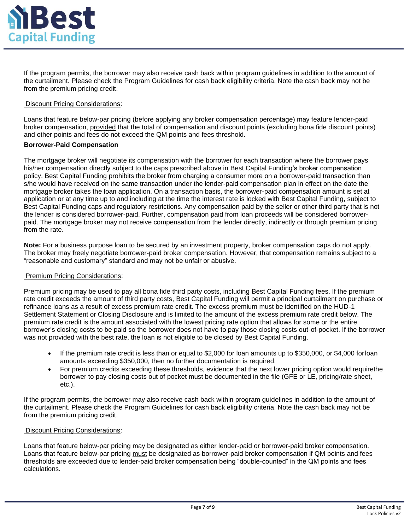

If the program permits, the borrower may also receive cash back within program guidelines in addition to the amount of the curtailment. Please check the Program Guidelines for cash back eligibility criteria. Note the cash back may not be from the premium pricing credit.

## **Discount Pricing Considerations:**

Loans that feature below-par pricing (before applying any broker compensation percentage) may feature lender-paid broker compensation, provided that the total of compensation and discount points (excluding bona fide discount points) and other points and fees do not exceed the QM points and fees threshold.

#### **Borrower-Paid Compensation**

The mortgage broker will negotiate its compensation with the borrower for each transaction where the borrower pays his/her compensation directly subject to the caps prescribed above in Best Capital Funding's broker compensation policy. Best Capital Funding prohibits the broker from charging a consumer more on a borrower-paid transaction than s/he would have received on the same transaction under the lender-paid compensation plan in effect on the date the mortgage broker takes the loan application. On a transaction basis, the borrower-paid compensation amount is set at application or at any time up to and including at the time the interest rate is locked with Best Capital Funding, subject to Best Capital Funding caps and regulatory restrictions. Any compensation paid by the seller or other third party that is not the lender is considered borrower-paid. Further, compensation paid from loan proceeds will be considered borrowerpaid. The mortgage broker may not receive compensation from the lender directly, indirectly or through premium pricing from the rate.

**Note:** For a business purpose loan to be secured by an investment property, broker compensation caps do not apply. The broker may freely negotiate borrower-paid broker compensation. However, that compensation remains subject to a "reasonable and customary" standard and may not be unfair or abusive.

## Premium Pricing Considerations:

Premium pricing may be used to pay all bona fide third party costs, including Best Capital Funding fees. If the premium rate credit exceeds the amount of third party costs, Best Capital Funding will permit a principal curtailment on purchase or refinance loans as a result of excess premium rate credit. The excess premium must be identified on the HUD-1 Settlement Statement or Closing Disclosure and is limited to the amount of the excess premium rate credit below. The premium rate credit is the amount associated with the lowest pricing rate option that allows for some or the entire borrower's closing costs to be paid so the borrower does not have to pay those closing costs out-of-pocket. If the borrower was not provided with the best rate, the loan is not eligible to be closed by Best Capital Funding.

- If the premium rate credit is less than or equal to \$2,000 for loan amounts up to \$350,000, or \$4,000 forloan amounts exceeding \$350,000, then no further documentation is required.
- For premium credits exceeding these thresholds, evidence that the next lower pricing option would requirethe borrower to pay closing costs out of pocket must be documented in the file (GFE or LE, pricing/rate sheet, etc.).

If the program permits, the borrower may also receive cash back within program guidelines in addition to the amount of the curtailment. Please check the Program Guidelines for cash back eligibility criteria. Note the cash back may not be from the premium pricing credit.

## Discount Pricing Considerations:

Loans that feature below-par pricing may be designated as either lender-paid or borrower-paid broker compensation. Loans that feature below-par pricing must be designated as borrower-paid broker compensation if QM points and fees thresholds are exceeded due to lender-paid broker compensation being "double-counted" in the QM points and fees calculations.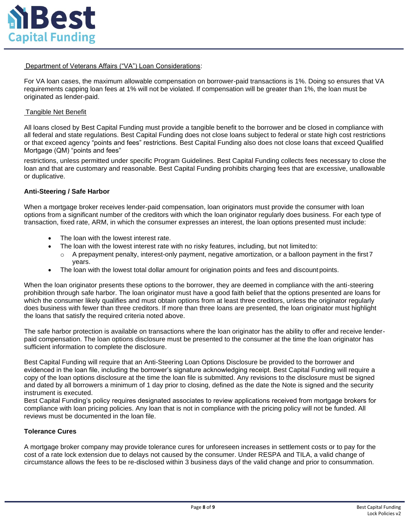

Department of Veterans Affairs ("VA") Loan Considerations:

For VA loan cases, the maximum allowable compensation on borrower-paid transactions is 1%. Doing so ensures that VA requirements capping loan fees at 1% will not be violated. If compensation will be greater than 1%, the loan must be originated as lender-paid.

## Tangible Net Benefit

All loans closed by Best Capital Funding must provide a tangible benefit to the borrower and be closed in compliance with all federal and state regulations. Best Capital Funding does not close loans subject to federal or state high cost restrictions or that exceed agency "points and fees" restrictions. Best Capital Funding also does not close loans that exceed Qualified Mortgage (QM) "points and fees"

restrictions, unless permitted under specific Program Guidelines. Best Capital Funding collects fees necessary to close the loan and that are customary and reasonable. Best Capital Funding prohibits charging fees that are excessive, unallowable or duplicative.

### **Anti-Steering / Safe Harbor**

When a mortgage broker receives lender-paid compensation, loan originators must provide the consumer with loan options from a significant number of the creditors with which the loan originator regularly does business. For each type of transaction, fixed rate, ARM, in which the consumer expresses an interest, the loan options presented must include:

- The loan with the lowest interest rate.
- The loan with the lowest interest rate with no risky features, including, but not limitedto:
- $\circ$  A prepayment penalty, interest-only payment, negative amortization, or a balloon payment in the first 7 years.
- The loan with the lowest total dollar amount for origination points and fees and discount points.

When the loan originator presents these options to the borrower, they are deemed in compliance with the anti-steering prohibition through safe harbor. The loan originator must have a good faith belief that the options presented are loans for which the consumer likely qualifies and must obtain options from at least three creditors, unless the originator regularly does business with fewer than three creditors. If more than three loans are presented, the loan originator must highlight the loans that satisfy the required criteria noted above.

The safe harbor protection is available on transactions where the loan originator has the ability to offer and receive lenderpaid compensation. The loan options disclosure must be presented to the consumer at the time the loan originator has sufficient information to complete the disclosure.

Best Capital Funding will require that an Anti-Steering Loan Options Disclosure be provided to the borrower and evidenced in the loan file, including the borrower's signature acknowledging receipt. Best Capital Funding will require a copy of the loan options disclosure at the time the loan file is submitted. Any revisions to the disclosure must be signed and dated by all borrowers a minimum of 1 day prior to closing, defined as the date the Note is signed and the security instrument is executed.

Best Capital Funding's policy requires designated associates to review applications received from mortgage brokers for compliance with loan pricing policies. Any loan that is not in compliance with the pricing policy will not be funded. All reviews must be documented in the loan file.

## **Tolerance Cures**

A mortgage broker company may provide tolerance cures for unforeseen increases in settlement costs or to pay for the cost of a rate lock extension due to delays not caused by the consumer. Under RESPA and TILA, a valid change of circumstance allows the fees to be re-disclosed within 3 business days of the valid change and prior to consummation.